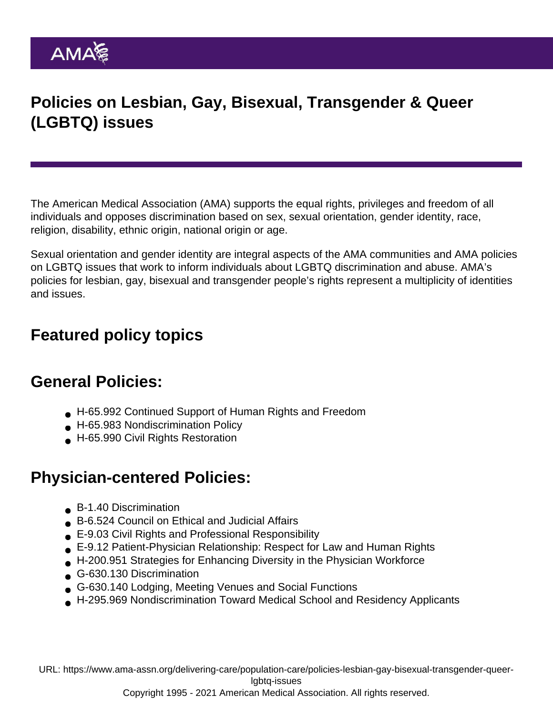# Policies on Lesbian, Gay, Bisexual, Transgender & Queer (LGBTQ) issues

The American Medical Association (AMA) supports the equal rights, privileges and freedom of all individuals and opposes discrimination based on sex, sexual orientation, gender identity, race, religion, disability, ethnic origin, national origin or age.

Sexual orientation and gender identity are integral aspects of the AMA communities and AMA policies on LGBTQ issues that work to inform individuals about LGBTQ discrimination and abuse. AMA's policies for lesbian, gay, bisexual and transgender people's rights represent a multiplicity of identities and issues.

## Featured policy topics

#### General Policies:

- H-65.992 Continued Support of Human Rights and Freedom
- H-65.983 Nondiscrimination Policy
- H-65.990 Civil Rights Restoration

## Physician-centered Policies:

- B-1.40 Discrimination
- B-6.524 Council on Ethical and Judicial Affairs
- E-9.03 Civil Rights and Professional Responsibility
- E-9.12 Patient-Physician Relationship: Respect for Law and Human Rights
- H-200.951 Strategies for Enhancing Diversity in the Physician Workforce
- G-630.130 Discrimination
- G-630.140 Lodging, Meeting Venues and Social Functions
- H-295.969 Nondiscrimination Toward Medical School and Residency Applicants

URL: [https://www.ama-assn.org/delivering-care/population-care/policies-lesbian-gay-bisexual-transgender-queer](https://www.ama-assn.org/delivering-care/population-care/policies-lesbian-gay-bisexual-transgender-queer-lgbtq-issues)[lgbtq-issues](https://www.ama-assn.org/delivering-care/population-care/policies-lesbian-gay-bisexual-transgender-queer-lgbtq-issues)